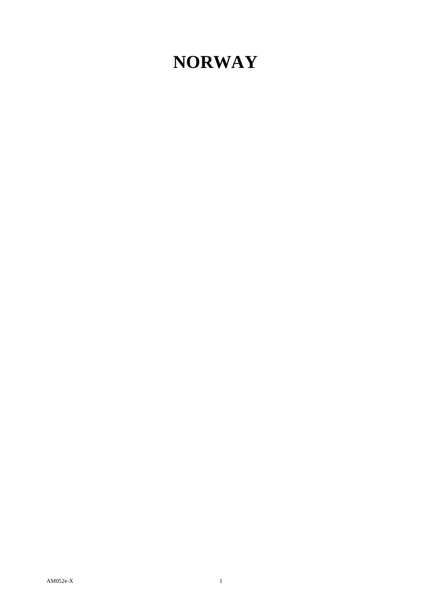## **NORWAY**